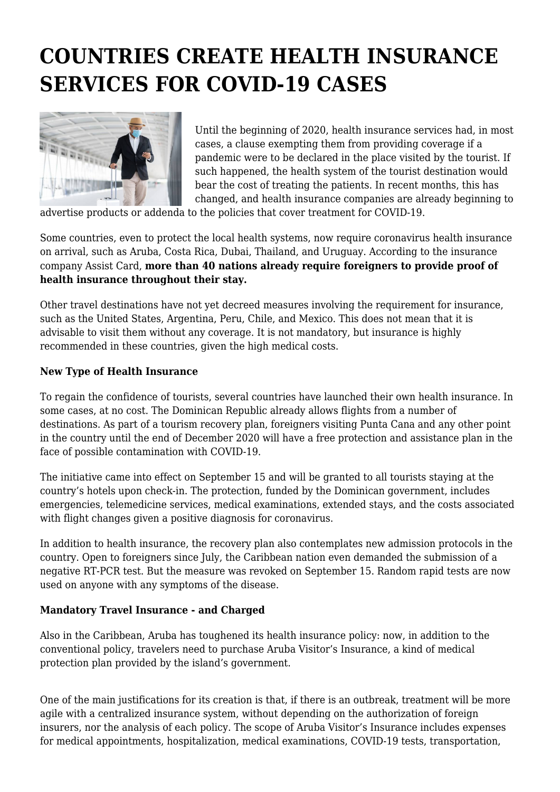## **COUNTRIES CREATE HEALTH INSURANCE SERVICES FOR COVID-19 CASES**



Until the beginning of 2020, health insurance services had, in most cases, a clause exempting them from providing coverage if a pandemic were to be declared in the place visited by the tourist. If such happened, the health system of the tourist destination would bear the cost of treating the patients. In recent months, this has changed, and health insurance companies are already beginning to

advertise products or addenda to the policies that cover treatment for COVID-19.

Some countries, even to protect the local health systems, now require coronavirus health insurance on arrival, such as Aruba, Costa Rica, Dubai, Thailand, and Uruguay. According to the insurance company Assist Card, **more than 40 nations already require foreigners to provide proof of health insurance throughout their stay.**

Other travel destinations have not yet decreed measures involving the requirement for insurance, such as the United States, Argentina, Peru, Chile, and Mexico. This does not mean that it is advisable to visit them without any coverage. It is not mandatory, but insurance is highly recommended in these countries, given the high medical costs.

## **New Type of Health Insurance**

To regain the confidence of tourists, several countries have launched their own health insurance. In some cases, at no cost. The Dominican Republic already allows flights from a number of destinations. As part of a tourism recovery plan, foreigners visiting Punta Cana and any other point in the country until the end of December 2020 will have a free protection and assistance plan in the face of possible contamination with COVID-19.

The initiative came into effect on September 15 and will be granted to all tourists staying at the country's hotels upon check-in. The protection, funded by the Dominican government, includes emergencies, telemedicine services, medical examinations, extended stays, and the costs associated with flight changes given a positive diagnosis for coronavirus.

In addition to health insurance, the recovery plan also contemplates new admission protocols in the country. Open to foreigners since July, the Caribbean nation even demanded the submission of a negative RT-PCR test. But the measure was revoked on September 15. Random rapid tests are now used on anyone with any symptoms of the disease.

## **Mandatory Travel Insurance - and Charged**

Also in the Caribbean, Aruba has toughened its health insurance policy: now, in addition to the conventional policy, travelers need to purchase Aruba Visitor's Insurance, a kind of medical protection plan provided by the island's government.

One of the main justifications for its creation is that, if there is an outbreak, treatment will be more agile with a centralized insurance system, without depending on the authorization of foreign insurers, nor the analysis of each policy. The scope of Aruba Visitor's Insurance includes expenses for medical appointments, hospitalization, medical examinations, COVID-19 tests, transportation,